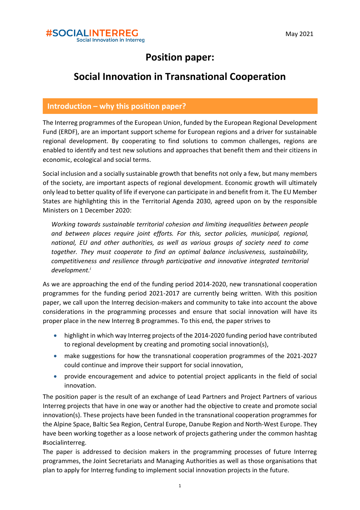

### **Position paper:**

### **Social Innovation in Transnational Cooperation**

#### **Introduction – why this position paper?**

The Interreg programmes of the European Union, funded by the European Regional Development Fund (ERDF), are an important support scheme for European regions and a driver for sustainable regional development. By cooperating to find solutions to common challenges, regions are enabled to identify and test new solutions and approaches that benefit them and their citizens in economic, ecological and social terms.

Social inclusion and a socially sustainable growth that benefits not only a few, but many members of the society, are important aspects of regional development. Economic growth will ultimately only lead to better quality of life if everyone can participate in and benefit from it. The EU Member States are highlighting this in the Territorial Agenda 2030, agreed upon on by the responsible Ministers on 1 December 2020:

*Working towards sustainable territorial cohesion and limiting inequalities between people and between places require joint efforts. For this, sector policies, municipal, regional, national, EU and other authorities, as well as various groups of society need to come together. They must cooperate to find an optimal balance inclusiveness, sustainability, competitiveness and resilience through participative and innovative integrated territorial development. i*

As we are approaching the end of the funding period 2014-2020, new transnational cooperation programmes for the funding period 2021-2017 are currently being written. With this position paper, we call upon the Interreg decision-makers and community to take into account the above considerations in the programming processes and ensure that social innovation will have its proper place in the new Interreg B programmes. To this end, the paper strives to

- highlight in which way Interreg projects of the 2014-2020 funding period have contributed to regional development by creating and promoting social innovation(s),
- make suggestions for how the transnational cooperation programmes of the 2021-2027 could continue and improve their support for social innovation,
- provide encouragement and advice to potential project applicants in the field of social innovation.

The position paper is the result of an exchange of Lead Partners and Project Partners of various Interreg projects that have in one way or another had the objective to create and promote social innovation(s). These projects have been funded in the transnational cooperation programmes for the Alpine Space, Baltic Sea Region, Central Europe, Danube Region and North-West Europe. They have been working together as a loose network of projects gathering under the common hashtag #socialinterreg.

The paper is addressed to decision makers in the programming processes of future Interreg programmes, the Joint Secretariats and Managing Authorities as well as those organisations that plan to apply for Interreg funding to implement social innovation projects in the future.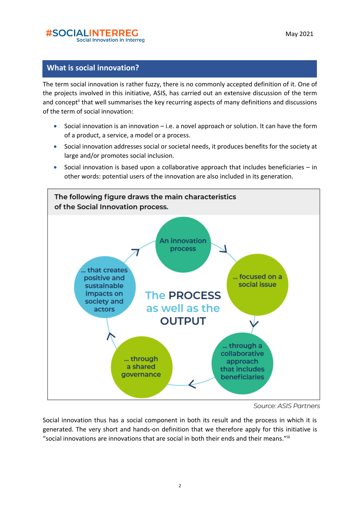#### **#SOCIALINTERREG Social Innovation in Interreg**

### **What is social innovation?**

The term social innovation is rather fuzzy, there is no commonly accepted definition of it. One of the projects involved in this initiative, ASIS, has carried out an extensive discussion of the term and concept<sup>ii</sup> that well summarises the key recurring aspects of many definitions and discussions of the term of social innovation:

- Social innovation is an innovation i.e. a novel approach or solution. It can have the form of a product, a service, a model or a process.
- Social innovation addresses social or societal needs, it produces benefits for the society at large and/or promotes social inclusion.
- Social innovation is based upon a collaborative approach that includes beneficiaries in other words: potential users of the innovation are also included in its generation.



**Source: ASIS Partners** 

Social innovation thus has a social component in both its result and the process in which it is generated. The very short and hands-on definition that we therefore apply for this initiative is "social innovations are innovations that are social in both their ends and their means."iii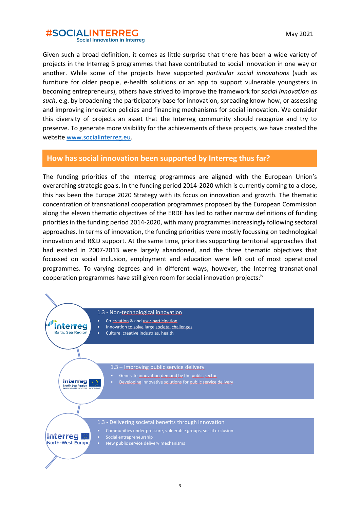#### #SOCIALINTERREG Social Innovation in Interreg

Given such a broad definition, it comes as little surprise that there has been a wide variety of projects in the Interreg B programmes that have contributed to social innovation in one way or another. While some of the projects have supported *particular social innovations* (such as furniture for older people, e-health solutions or an app to support vulnerable youngsters in becoming entrepreneurs), others have strived to improve the framework for *social innovation as such*, e.g. by broadening the participatory base for innovation, spreading know-how, or assessing and improving innovation policies and financing mechanisms for social innovation. We consider this diversity of projects an asset that the Interreg community should recognize and try to preserve. To generate more visibility for the achievements of these projects, we have created the website [www.socialinterreg.eu.](http://www.socialinterreg.eu/)

#### **How has social innovation been supported by Interreg thus far?**

The funding priorities of the Interreg programmes are aligned with the European Union's overarching strategic goals. In the funding period 2014-2020 which is currently coming to a close, this has been the Europe 2020 Strategy with its focus on innovation and growth. The thematic concentration of transnational cooperation programmes proposed by the European Commission along the eleven thematic objectives of the ERDF has led to rather narrow definitions of funding priorities in the funding period 2014-2020, with many programmes increasingly following sectoral approaches. In terms of innovation, the funding priorities were mostly focussing on technological innovation and R&D support. At the same time, priorities supporting territorial approaches that had existed in 2007-2013 were largely abandoned, and the three thematic objectives that focussed on social inclusion, employment and education were left out of most operational programmes. To varying degrees and in different ways, however, the Interreg transnational cooperation programmes have still given room for social innovation projects:<sup>iv</sup>

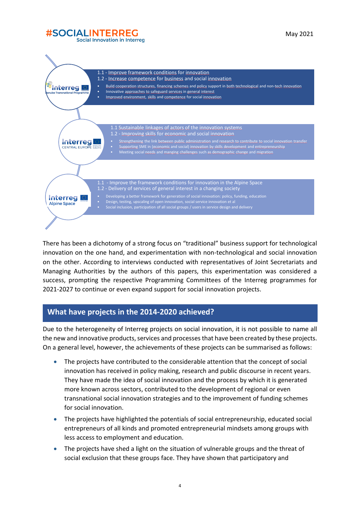

There has been a dichotomy of a strong focus on "traditional" business support for technological innovation on the one hand, and experimentation with non-technological and social innovation on the other. According to interviews conducted with representatives of Joint Secretariats and Managing Authorities by the authors of this papers, this experimentation was considered a success, prompting the respective Programming Committees of the Interreg programmes for 2021-2027 to continue or even expand support for social innovation projects.

#### **What have projects in the 2014-2020 achieved?**

Due to the heterogeneity of Interreg projects on social innovation, it is not possible to name all the new and innovative products, services and processes that have been created by these projects. On a general level, however, the achievements of these projects can be summarised as follows:

- The projects have contributed to the considerable attention that the concept of social innovation has received in policy making, research and public discourse in recent years. They have made the idea of social innovation and the process by which it is generated more known across sectors, contributed to the development of regional or even transnational social innovation strategies and to the improvement of funding schemes for social innovation.
- The projects have highlighted the potentials of social entrepreneurship, educated social entrepreneurs of all kinds and promoted entrepreneurial mindsets among groups with less access to employment and education.
- The projects have shed a light on the situation of vulnerable groups and the threat of social exclusion that these groups face. They have shown that participatory and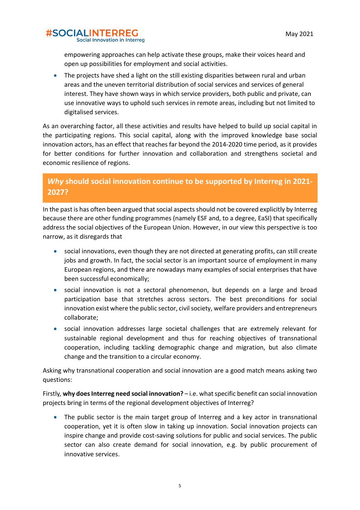**Social Innovation in Interreg** 

empowering approaches can help activate these groups, make their voices heard and open up possibilities for employment and social activities.

• The projects have shed a light on the still existing disparities between rural and urban areas and the uneven territorial distribution of social services and services of general interest. They have shown ways in which service providers, both public and private, can use innovative ways to uphold such services in remote areas, including but not limited to digitalised services.

As an overarching factor, all these activities and results have helped to build up social capital in the participating regions. This social capital, along with the improved knowledge base social innovation actors, has an effect that reaches far beyond the 2014-2020 time period, as it provides for better conditions for further innovation and collaboration and strengthens societal and economic resilience of regions.

### *Why* **should social innovation continue to be supported by Interreg in 2021- 2027?**

In the past is has often been argued that social aspects should not be covered explicitly by Interreg because there are other funding programmes (namely ESF and, to a degree, EaSI) that specifically address the social objectives of the European Union. However, in our view this perspective is too narrow, as it disregards that

- social innovations, even though they are not directed at generating profits, can still create jobs and growth. In fact, the social sector is an important source of employment in many European regions, and there are nowadays many examples of social enterprises that have been successful economically;
- social innovation is not a sectoral phenomenon, but depends on a large and broad participation base that stretches across sectors. The best preconditions for social innovation exist where the public sector, civil society, welfare providers and entrepreneurs collaborate;
- social innovation addresses large societal challenges that are extremely relevant for sustainable regional development and thus for reaching objectives of transnational cooperation, including tackling demographic change and migration, but also climate change and the transition to a circular economy.

Asking why transnational cooperation and social innovation are a good match means asking two questions:

Firstly*,* **why does Interreg need social innovation?** – i.e. what specific benefit can social innovation projects bring in terms of the regional development objectives of Interreg?

• The public sector is the main target group of Interreg and a key actor in transnational cooperation, yet it is often slow in taking up innovation. Social innovation projects can inspire change and provide cost-saving solutions for public and social services. The public sector can also create demand for social innovation, e.g. by public procurement of innovative services.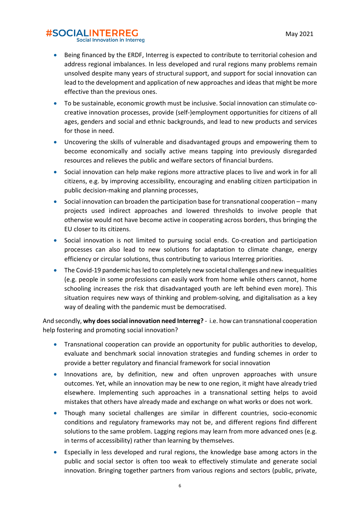**Social Innovation in Interreg** 

- Being financed by the ERDF, Interreg is expected to contribute to territorial cohesion and address regional imbalances. In less developed and rural regions many problems remain unsolved despite many years of structural support, and support for social innovation can lead to the development and application of new approaches and ideas that might be more effective than the previous ones.
- To be sustainable, economic growth must be inclusive. Social innovation can stimulate cocreative innovation processes, provide (self-)employment opportunities for citizens of all ages, genders and social and ethnic backgrounds, and lead to new products and services for those in need.
- Uncovering the skills of vulnerable and disadvantaged groups and empowering them to become economically and socially active means tapping into previously disregarded resources and relieves the public and welfare sectors of financial burdens.
- Social innovation can help make regions more attractive places to live and work in for all citizens, e.g. by improving accessibility, encouraging and enabling citizen participation in public decision-making and planning processes,
- Social innovation can broaden the participation base for transnational cooperation many projects used indirect approaches and lowered thresholds to involve people that otherwise would not have become active in cooperating across borders, thus bringing the EU closer to its citizens.
- Social innovation is not limited to pursuing social ends. Co-creation and participation processes can also lead to new solutions for adaptation to climate change, energy efficiency or circular solutions, thus contributing to various Interreg priorities.
- The Covid-19 pandemic has led to completely new societal challenges and new inequalities (e.g. people in some professions can easily work from home while others cannot, home schooling increases the risk that disadvantaged youth are left behind even more). This situation requires new ways of thinking and problem-solving, and digitalisation as a key way of dealing with the pandemic must be democratised.

And secondly, **why does social innovation need Interreg?** - i.e. how can transnational cooperation help fostering and promoting social innovation?

- Transnational cooperation can provide an opportunity for public authorities to develop, evaluate and benchmark social innovation strategies and funding schemes in order to provide a better regulatory and financial framework for social innovation
- Innovations are, by definition, new and often unproven approaches with unsure outcomes. Yet, while an innovation may be new to one region, it might have already tried elsewhere. Implementing such approaches in a transnational setting helps to avoid mistakes that others have already made and exchange on what works or does not work.
- Though many societal challenges are similar in different countries, socio-economic conditions and regulatory frameworks may not be, and different regions find different solutions to the same problem. Lagging regions may learn from more advanced ones (e.g. in terms of accessibility) rather than learning by themselves.
- Especially in less developed and rural regions, the knowledge base among actors in the public and social sector is often too weak to effectively stimulate and generate social innovation. Bringing together partners from various regions and sectors (public, private,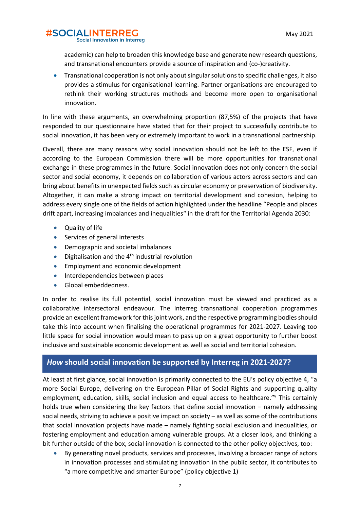**Social Innovation in Interreg** 

academic) can help to broaden this knowledge base and generate new research questions, and transnational encounters provide a source of inspiration and (co-)creativity.

• Transnational cooperation is not only about singular solutions to specific challenges, it also provides a stimulus for organisational learning. Partner organisations are encouraged to rethink their working structures methods and become more open to organisational innovation.

In line with these arguments, an overwhelming proportion (87,5%) of the projects that have responded to our questionnaire have stated that for their project to successfully contribute to social innovation, it has been very or extremely important to work in a transnational partnership.

Overall, there are many reasons why social innovation should not be left to the ESF, even if according to the European Commission there will be more opportunities for transnational exchange in these programmes in the future. Social innovation does not only concern the social sector and social economy, it depends on collaboration of various actors across sectors and can bring about benefits in unexpected fields such as circular economy or preservation of biodiversity. Altogether, it can make a strong impact on territorial development and cohesion, helping to address every single one of the fields of action highlighted under the headline "People and places drift apart, increasing imbalances and inequalities" in the draft for the Territorial Agenda 2030:

- Quality of life
- Services of general interests
- Demographic and societal imbalances
- Digitalisation and the  $4<sup>th</sup>$  industrial revolution
- Employment and economic development
- Interdependencies between places
- Global embeddedness.

In order to realise its full potential, social innovation must be viewed and practiced as a collaborative intersectoral endeavour. The Interreg transnational cooperation programmes provide an excellent framework for this joint work, and the respective programming bodies should take this into account when finalising the operational programmes for 2021-2027. Leaving too little space for social innovation would mean to pass up on a great opportunity to further boost inclusive and sustainable economic development as well as social and territorial cohesion.

### *How* **should social innovation be supported by Interreg in 2021-2027?**

At least at first glance, social innovation is primarily connected to the EU's policy objective 4, "a more Social Europe, delivering on the European Pillar of Social Rights and supporting quality employment, education, skills, social inclusion and equal access to healthcare." This certainly holds true when considering the key factors that define social innovation – namely addressing social needs, striving to achieve a positive impact on society – as well as some of the contributions that social innovation projects have made – namely fighting social exclusion and inequalities, or fostering employment and education among vulnerable groups. At a closer look, and thinking a bit further outside of the box, social innovation is connected to the other policy objectives, too:

• By generating novel products, services and processes, involving a broader range of actors in innovation processes and stimulating innovation in the public sector, it contributes to "a more competitive and smarter Europe" (policy objective 1)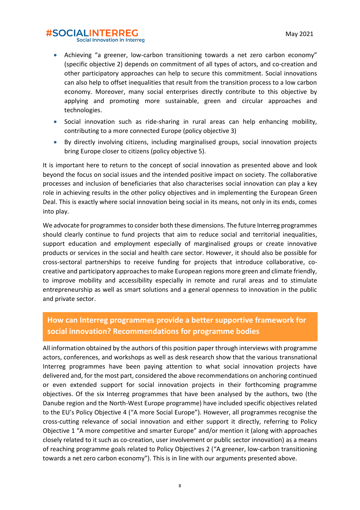**Social Innovation in Interreg** 

- Achieving "a greener, low-carbon transitioning towards a net zero carbon economy" (specific objective 2) depends on commitment of all types of actors, and co-creation and other participatory approaches can help to secure this commitment. Social innovations can also help to offset inequalities that result from the transition process to a low carbon economy. Moreover, many social enterprises directly contribute to this objective by applying and promoting more sustainable, green and circular approaches and technologies.
- Social innovation such as ride-sharing in rural areas can help enhancing mobility, contributing to a more connected Europe (policy objective 3)
- By directly involving citizens, including marginalised groups, social innovation projects bring Europe closer to citizens (policy objective 5).

It is important here to return to the concept of social innovation as presented above and look beyond the focus on social issues and the intended positive impact on society. The collaborative processes and inclusion of beneficiaries that also characterises social innovation can play a key role in achieving results in the other policy objectives and in implementing the European Green Deal. This is exactly where social innovation being social in its means, not only in its ends, comes into play.

We advocate for programmes to consider both these dimensions. The future Interreg programmes should clearly continue to fund projects that aim to reduce social and territorial inequalities, support education and employment especially of marginalised groups or create innovative products or services in the social and health care sector. However, it should also be possible for cross-sectoral partnerships to receive funding for projects that introduce collaborative, cocreative and participatory approaches to make European regions more green and climate friendly, to improve mobility and accessibility especially in remote and rural areas and to stimulate entrepreneurship as well as smart solutions and a general openness to innovation in the public and private sector.

### **How can Interreg programmes provide a better supportive framework for social innovation? Recommendations for programme bodies**

All information obtained by the authors of this position paper through interviews with programme actors, conferences, and workshops as well as desk research show that the various transnational Interreg programmes have been paying attention to what social innovation projects have delivered and, for the most part, considered the above recommendations on anchoring continued or even extended support for social innovation projects in their forthcoming programme objectives. Of the six Interreg programmes that have been analysed by the authors, two (the Danube region and the North-West Europe programme) have included specific objectives related to the EU's Policy Objective 4 ("A more Social Europe"). However, all programmes recognise the cross-cutting relevance of social innovation and either support it directly, referring to Policy Objective 1 "A more competitive and smarter Europe" and/or mention it (along with approaches closely related to it such as co-creation, user involvement or public sector innovation) as a means of reaching programme goals related to Policy Objectives 2 ("A greener, low-carbon transitioning towards a net zero carbon economy"). This is in line with our arguments presented above.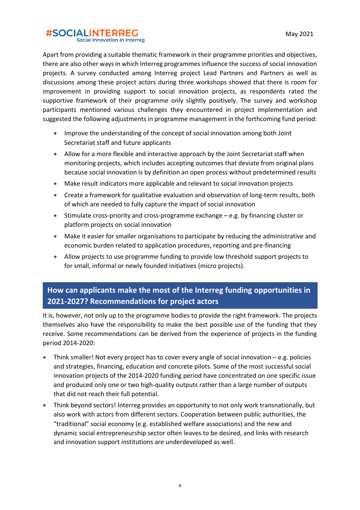Social Innovation in Interreg

Apart from providing a suitable thematic framework in their programme priorities and objectives, there are also other ways in which Interreg programmes influence the success of social innovation projects. A survey conducted among Interreg project Lead Partners and Partners as well as discussions among these project actors during three workshops showed that there is room for improvement in providing support to social innovation projects, as respondents rated the supportive framework of their programme only slightly positively. The survey and workshop participants mentioned various challenges they encountered in project implementation and suggested the following adjustments in programme management in the forthcoming fund period:

- Improve the understanding of the concept of social innovation among both Joint Secretariat staff and future applicants
- Allow for a more flexible and interactive approach by the Joint Secretariat staff when monitoring projects, which includes accepting outcomes that deviate from original plans because social innovation is by definition an open process without predetermined results
- Make result indicators more applicable and relevant to social innovation projects
- Create a framework for qualitative evaluation and observation of long-term results, both of which are needed to fully capture the impact of social innovation
- Stimulate cross-priority and cross-programme exchange e.g. by financing cluster or platform projects on social innovation
- Make it easier for smaller organisations to participate by reducing the administrative and economic burden related to application procedures, reporting and pre-financing
- Allow projects to use programme funding to provide low threshold support projects to for small, informal or newly founded initiatives (micro projects).

### **How can applicants make the most of the Interreg funding opportunities in 2021-2027? Recommendations for project actors**

It is, however, not only up to the programme bodies to provide the right framework. The projects themselves also have the responsibility to make the best possible use of the funding that they receive. Some recommendations can be derived from the experience of projects in the funding period 2014-2020:

- Think smaller! Not every project has to cover every angle of social innovation  $-e.g.$  policies and strategies, financing, education and concrete pilots. Some of the most successful social innovation projects of the 2014-2020 funding period have concentrated on one specific issue and produced only one or two high-quality outputs rather than a large number of outputs that did not reach their full potential.
- Think beyond sectors! Interreg provides an opportunity to not only work transnationally, but also work with actors from different sectors. Cooperation between public authorities, the "traditional" social economy (e.g. established welfare associations) and the new and dynamic social entrepreneurship sector often leaves to be desired, and links with research and innovation support institutions are underdeveloped as well.